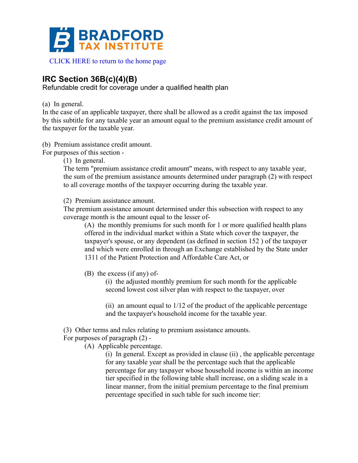

# **IRC Section 36B(c)(4)(B)**

Refundable credit for coverage under a qualified health plan

(a) In general.

In the case of an applicable taxpayer, there shall be allowed as a credit against the tax imposed by this subtitle for any taxable year an amount equal to the premium assistance credit amount of the taxpayer for the taxable year.

(b) Premium assistance credit amount.

For purposes of this section -

(1) In general.

The term "premium assistance credit amount" means, with respect to any taxable year, the sum of the premium assistance amounts determined under paragraph (2) with respect to all coverage months of the taxpayer occurring during the taxable year.

(2) Premium assistance amount.

The premium assistance amount determined under this subsection with respect to any coverage month is the amount equal to the lesser of-

(A) the monthly premiums for such month for 1 or more qualified health plans offered in the individual market within a State which cover the taxpayer, the taxpayer's spouse, or any dependent (as defined in section 152 ) of the taxpayer and which were enrolled in through an Exchange established by the State under 1311 of the Patient Protection and Affordable Care Act, or

(B) the excess (if any) of-

(i) the adjusted monthly premium for such month for the applicable second lowest cost silver plan with respect to the taxpayer, over

(ii) an amount equal to 1/12 of the product of the applicable percentage and the taxpayer's household income for the taxable year.

(3) Other terms and rules relating to premium assistance amounts.

For purposes of paragraph (2) -

(A) Applicable percentage.

(i) In general. Except as provided in clause (ii) , the applicable percentage for any taxable year shall be the percentage such that the applicable percentage for any taxpayer whose household income is within an income tier specified in the following table shall increase, on a sliding scale in a linear manner, from the initial premium percentage to the final premium percentage specified in such table for such income tier: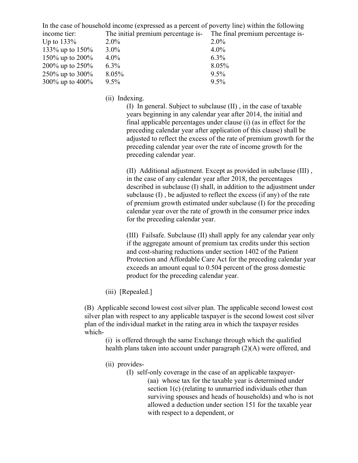| In the case of household income (expressed as a percent of poverty line) within the following |                                    |                                  |
|-----------------------------------------------------------------------------------------------|------------------------------------|----------------------------------|
| income tier:                                                                                  | The initial premium percentage is- | The final premium percentage is- |
| Up to $133\%$                                                                                 | $2.0\%$                            | $2.0\%$                          |
| 133\% up to $150\%$                                                                           | $3.0\%$                            | $4.0\%$                          |
| 150\% up to 200\%                                                                             | $4.0\%$                            | $6.3\%$                          |
| 200\% up to 250\%                                                                             | $6.3\%$                            | 8.05%                            |
| 250\% up to 300\%                                                                             | 8.05%                              | $9.5\%$                          |
| 300\% up to 400\%                                                                             | $9.5\%$                            | $9.5\%$                          |
|                                                                                               |                                    |                                  |

(ii) Indexing.

(I) In general. Subject to subclause (II) , in the case of taxable years beginning in any calendar year after 2014, the initial and final applicable percentages under clause (i) (as in effect for the preceding calendar year after application of this clause) shall be adjusted to reflect the excess of the rate of premium growth for the preceding calendar year over the rate of income growth for the preceding calendar year.

(II) Additional adjustment. Except as provided in subclause (III) , in the case of any calendar year after 2018, the percentages described in subclause (I) shall, in addition to the adjustment under subclause (I) , be adjusted to reflect the excess (if any) of the rate of premium growth estimated under subclause (I) for the preceding calendar year over the rate of growth in the consumer price index for the preceding calendar year.

(III) Failsafe. Subclause (II) shall apply for any calendar year only if the aggregate amount of premium tax credits under this section and cost-sharing reductions under section 1402 of the Patient Protection and Affordable Care Act for the preceding calendar year exceeds an amount equal to 0.504 percent of the gross domestic product for the preceding calendar year.

(iii) [Repealed.]

(B) Applicable second lowest cost silver plan. The applicable second lowest cost silver plan with respect to any applicable taxpayer is the second lowest cost silver plan of the individual market in the rating area in which the taxpayer resides which-

(i) is offered through the same Exchange through which the qualified health plans taken into account under paragraph (2)(A) were offered, and

- (ii) provides-
	- (I) self-only coverage in the case of an applicable taxpayer-

(aa) whose tax for the taxable year is determined under section 1(c) (relating to unmarried individuals other than surviving spouses and heads of households) and who is not allowed a deduction under section 151 for the taxable year with respect to a dependent, or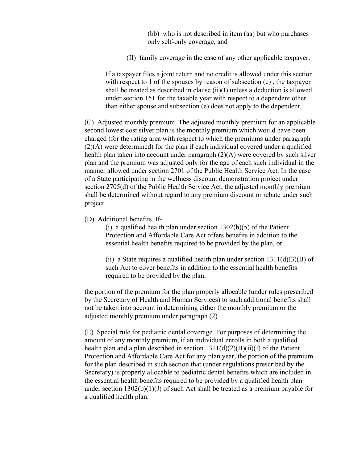(bb) who is not described in item (aa) but who purchases only self-only coverage, and

(II) family coverage in the case of any other applicable taxpayer.

If a taxpayer files a joint return and no credit is allowed under this section with respect to 1 of the spouses by reason of subsection (e), the taxpayer shall be treated as described in clause (ii)(I) unless a deduction is allowed under section 151 for the taxable year with respect to a dependent other than either spouse and subsection (e) does not apply to the dependent.

(C) Adjusted monthly premium. The adjusted monthly premium for an applicable second lowest cost silver plan is the monthly premium which would have been charged (for the rating area with respect to which the premiums under paragraph (2)(A) were determined) for the plan if each individual covered under a qualified health plan taken into account under paragraph (2)(A) were covered by such silver plan and the premium was adjusted only for the age of each such individual in the manner allowed under section 2701 of the Public Health Service Act. In the case of a State participating in the wellness discount demonstration project under section 2705(d) of the Public Health Service Act, the adjusted monthly premium shall be determined without regard to any premium discount or rebate under such project.

(D) Additional benefits. If-

(i) a qualified health plan under section  $1302(b)(5)$  of the Patient Protection and Affordable Care Act offers benefits in addition to the essential health benefits required to be provided by the plan, or

(ii) a State requires a qualified health plan under section  $1311(d)(3)(B)$  of such Act to cover benefits in addition to the essential health benefits required to be provided by the plan,

the portion of the premium for the plan properly allocable (under rules prescribed by the Secretary of Health and Human Services) to such additional benefits shall not be taken into account in determining either the monthly premium or the adjusted monthly premium under paragraph (2).

(E) Special rule for pediatric dental coverage. For purposes of determining the amount of any monthly premium, if an individual enrolls in both a qualified health plan and a plan described in section 1311(d)(2)(B)(ii)(I) of the Patient Protection and Affordable Care Act for any plan year, the portion of the premium for the plan described in such section that (under regulations prescribed by the Secretary) is properly allocable to pediatric dental benefits which are included in the essential health benefits required to be provided by a qualified health plan under section  $1302(b)(1)(J)$  of such Act shall be treated as a premium payable for a qualified health plan.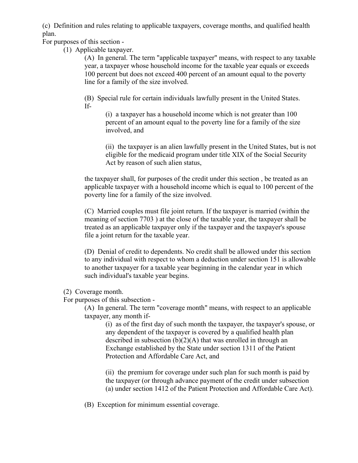(c) Definition and rules relating to applicable taxpayers, coverage months, and qualified health plan.

For purposes of this section -

(1) Applicable taxpayer.

(A) In general. The term "applicable taxpayer" means, with respect to any taxable year, a taxpayer whose household income for the taxable year equals or exceeds 100 percent but does not exceed 400 percent of an amount equal to the poverty line for a family of the size involved.

(B) Special rule for certain individuals lawfully present in the United States. If-

(i) a taxpayer has a household income which is not greater than 100 percent of an amount equal to the poverty line for a family of the size involved, and

(ii) the taxpayer is an alien lawfully present in the United States, but is not eligible for the medicaid program under title XIX of the Social Security Act by reason of such alien status,

the taxpayer shall, for purposes of the credit under this section , be treated as an applicable taxpayer with a household income which is equal to 100 percent of the poverty line for a family of the size involved.

(C) Married couples must file joint return. If the taxpayer is married (within the meaning of section 7703 ) at the close of the taxable year, the taxpayer shall be treated as an applicable taxpayer only if the taxpayer and the taxpayer's spouse file a joint return for the taxable year.

(D) Denial of credit to dependents. No credit shall be allowed under this section to any individual with respect to whom a deduction under section 151 is allowable to another taxpayer for a taxable year beginning in the calendar year in which such individual's taxable year begins.

(2) Coverage month.

For purposes of this subsection -

(A) In general. The term "coverage month" means, with respect to an applicable taxpayer, any month if-

(i) as of the first day of such month the taxpayer, the taxpayer's spouse, or any dependent of the taxpayer is covered by a qualified health plan described in subsection  $(b)(2)(A)$  that was enrolled in through an Exchange established by the State under section 1311 of the Patient Protection and Affordable Care Act, and

(ii) the premium for coverage under such plan for such month is paid by the taxpayer (or through advance payment of the credit under subsection (a) under section 1412 of the Patient Protection and Affordable Care Act).

(B) Exception for minimum essential coverage.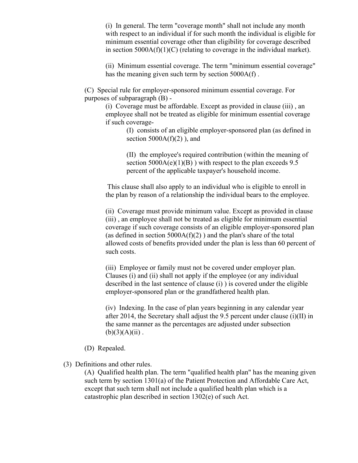(i) In general. The term "coverage month" shall not include any month with respect to an individual if for such month the individual is eligible for minimum essential coverage other than eligibility for coverage described in section  $5000A(f)(1)(C)$  (relating to coverage in the individual market).

(ii) Minimum essential coverage. The term "minimum essential coverage" has the meaning given such term by section 5000A(f) .

(C) Special rule for employer-sponsored minimum essential coverage. For purposes of subparagraph (B) -

(i) Coverage must be affordable. Except as provided in clause (iii) , an employee shall not be treated as eligible for minimum essential coverage if such coverage-

> (I) consists of an eligible employer-sponsored plan (as defined in section  $5000A(f)(2)$ , and

(II) the employee's required contribution (within the meaning of section  $5000A(e)(1)(B)$ ) with respect to the plan exceeds 9.5 percent of the applicable taxpayer's household income.

This clause shall also apply to an individual who is eligible to enroll in the plan by reason of a relationship the individual bears to the employee.

(ii) Coverage must provide minimum value. Except as provided in clause (iii) , an employee shall not be treated as eligible for minimum essential coverage if such coverage consists of an eligible employer-sponsored plan (as defined in section  $5000A(f)(2)$ ) and the plan's share of the total allowed costs of benefits provided under the plan is less than 60 percent of such costs.

(iii) Employee or family must not be covered under employer plan. Clauses (i) and (ii) shall not apply if the employee (or any individual described in the last sentence of clause (i) ) is covered under the eligible employer-sponsored plan or the grandfathered health plan.

(iv) Indexing. In the case of plan years beginning in any calendar year after 2014, the Secretary shall adjust the 9.5 percent under clause (i)(II) in the same manner as the percentages are adjusted under subsection  $(b)(3)(A)(ii)$ .

- (D) Repealed.
- (3) Definitions and other rules.

(A) Qualified health plan. The term "qualified health plan" has the meaning given such term by section 1301(a) of the Patient Protection and Affordable Care Act, except that such term shall not include a qualified health plan which is a catastrophic plan described in section 1302(e) of such Act.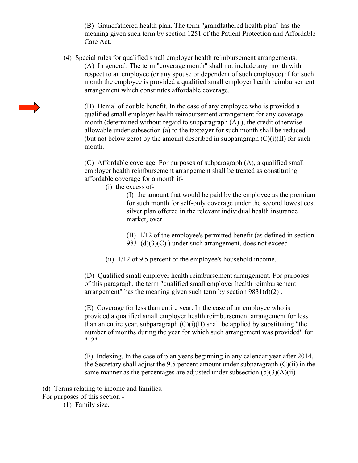(B) Grandfathered health plan. The term "grandfathered health plan" has the meaning given such term by section 1251 of the Patient Protection and Affordable Care Act.

(4) Special rules for qualified small employer health reimbursement arrangements.

(A) In general. The term "coverage month" shall not include any month with respect to an employee (or any spouse or dependent of such employee) if for such month the employee is provided a qualified small employer health reimbursement arrangement which constitutes affordable coverage.

(B) Denial of double benefit. In the case of any employee who is provided a qualified small employer health reimbursement arrangement for any coverage month (determined without regard to subparagraph (A) ), the credit otherwise allowable under subsection (a) to the taxpayer for such month shall be reduced (but not below zero) by the amount described in subparagraph  $(C)(i)(II)$  for such month.

(C) Affordable coverage. For purposes of subparagraph (A), a qualified small employer health reimbursement arrangement shall be treated as constituting affordable coverage for a month if-

(i) the excess of-

(I) the amount that would be paid by the employee as the premium for such month for self-only coverage under the second lowest cost silver plan offered in the relevant individual health insurance market, over

(II) 1/12 of the employee's permitted benefit (as defined in section 9831(d)(3)(C) ) under such arrangement, does not exceed-

(ii) 1/12 of 9.5 percent of the employee's household income.

(D) Qualified small employer health reimbursement arrangement. For purposes of this paragraph, the term "qualified small employer health reimbursement arrangement" has the meaning given such term by section  $9831(d)(2)$ .

(E) Coverage for less than entire year. In the case of an employee who is provided a qualified small employer health reimbursement arrangement for less than an entire year, subparagraph  $(C)(i)(II)$  shall be applied by substituting "the number of months during the year for which such arrangement was provided" for "12".

(F) Indexing. In the case of plan years beginning in any calendar year after 2014, the Secretary shall adjust the 9.5 percent amount under subparagraph  $(C)(ii)$  in the same manner as the percentages are adjusted under subsection  $(b)(3)(A)(ii)$ .

(d) Terms relating to income and families.

For purposes of this section -

(1) Family size.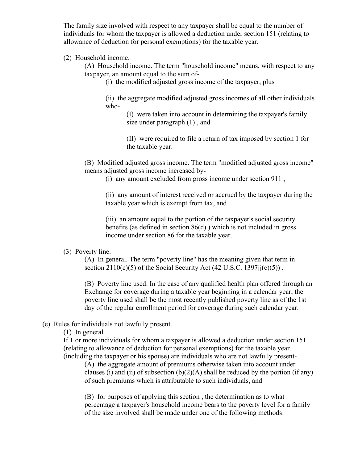The family size involved with respect to any taxpayer shall be equal to the number of individuals for whom the taxpayer is allowed a deduction under section 151 (relating to allowance of deduction for personal exemptions) for the taxable year.

(2) Household income.

(A) Household income. The term "household income" means, with respect to any taxpayer, an amount equal to the sum of-

(i) the modified adjusted gross income of the taxpayer, plus

(ii) the aggregate modified adjusted gross incomes of all other individuals who-

(I) were taken into account in determining the taxpayer's family size under paragraph (1) , and

(II) were required to file a return of tax imposed by section 1 for the taxable year.

(B) Modified adjusted gross income. The term "modified adjusted gross income" means adjusted gross income increased by-

(i) any amount excluded from gross income under section 911 ,

(ii) any amount of interest received or accrued by the taxpayer during the taxable year which is exempt from tax, and

(iii) an amount equal to the portion of the taxpayer's social security benefits (as defined in section 86(d) ) which is not included in gross income under section 86 for the taxable year.

## (3) Poverty line.

(A) In general. The term "poverty line" has the meaning given that term in section  $2110(c)(5)$  of the Social Security Act (42 U.S.C. 1397ij(c)(5)).

(B) Poverty line used. In the case of any qualified health plan offered through an Exchange for coverage during a taxable year beginning in a calendar year, the poverty line used shall be the most recently published poverty line as of the 1st day of the regular enrollment period for coverage during such calendar year.

(e) Rules for individuals not lawfully present.

(1) In general.

If 1 or more individuals for whom a taxpayer is allowed a deduction under section 151 (relating to allowance of deduction for personal exemptions) for the taxable year (including the taxpayer or his spouse) are individuals who are not lawfully present-

(A) the aggregate amount of premiums otherwise taken into account under clauses (i) and (ii) of subsection  $(b)(2)(A)$  shall be reduced by the portion (if any) of such premiums which is attributable to such individuals, and

(B) for purposes of applying this section , the determination as to what percentage a taxpayer's household income bears to the poverty level for a family of the size involved shall be made under one of the following methods: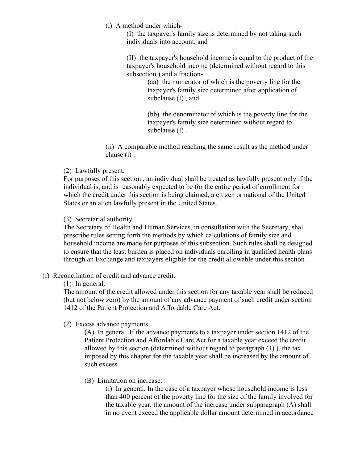(i) A method under which-

(I) the taxpayer's family size is determined by not taking such individuals into account, and

(II) the taxpayer's household income is equal to the product of the taxpayer's household income (determined without regard to this subsection ) and a fraction-

> (aa) the numerator of which is the poverty line for the taxpayer's family size determined after application of subclause (I) , and

(bb) the denominator of which is the poverty line for the taxpayer's family size determined without regard to subclause (I) .

(ii) A comparable method reaching the same result as the method under clause (i) .

(2) Lawfully present.

For purposes of this section , an individual shall be treated as lawfully present only if the individual is, and is reasonably expected to be for the entire period of enrollment for which the credit under this section is being claimed, a citizen or national of the United States or an alien lawfully present in the United States.

(3) Secretarial authority.

The Secretary of Health and Human Services, in consultation with the Secretary, shall prescribe rules setting forth the methods by which calculations of family size and household income are made for purposes of this subsection. Such rules shall be designed to ensure that the least burden is placed on individuals enrolling in qualified health plans through an Exchange and taxpayers eligible for the credit allowable under this section .

## (f) Reconciliation of credit and advance credit.

## (1) In general.

The amount of the credit allowed under this section for any taxable year shall be reduced (but not below zero) by the amount of any advance payment of such credit under section 1412 of the Patient Protection and Affordable Care Act.

(2) Excess advance payments.

(A) In general. If the advance payments to a taxpayer under section 1412 of the Patient Protection and Affordable Care Act for a taxable year exceed the credit allowed by this section (determined without regard to paragraph (1) ), the tax imposed by this chapter for the taxable year shall be increased by the amount of such excess.

(B) Limitation on increase.

(i) In general. In the case of a taxpayer whose household income is less than 400 percent of the poverty line for the size of the family involved for the taxable year, the amount of the increase under subparagraph (A) shall in no event exceed the applicable dollar amount determined in accordance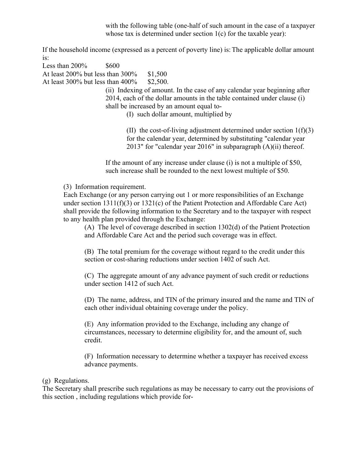with the following table (one-half of such amount in the case of a taxpayer whose tax is determined under section 1(c) for the taxable year):

If the household income (expressed as a percent of poverty line) is:The applicable dollar amount is:

Less than  $200\%$  \$600

At least 200% but less than 300% \$1,500

At least 300% but less than 400% \$2,500.

(ii) Indexing of amount. In the case of any calendar year beginning after 2014, each of the dollar amounts in the table contained under clause (i) shall be increased by an amount equal to-

(I) such dollar amount, multiplied by

(II) the cost-of-living adjustment determined under section  $1(f)(3)$ for the calendar year, determined by substituting "calendar year 2013" for "calendar year 2016" in subparagraph (A)(ii) thereof.

If the amount of any increase under clause (i) is not a multiple of \$50, such increase shall be rounded to the next lowest multiple of \$50.

(3) Information requirement.

Each Exchange (or any person carrying out 1 or more responsibilities of an Exchange under section 1311(f)(3) or 1321(c) of the Patient Protection and Affordable Care Act) shall provide the following information to the Secretary and to the taxpayer with respect to any health plan provided through the Exchange:

(A) The level of coverage described in section 1302(d) of the Patient Protection and Affordable Care Act and the period such coverage was in effect.

(B) The total premium for the coverage without regard to the credit under this section or cost-sharing reductions under section 1402 of such Act.

(C) The aggregate amount of any advance payment of such credit or reductions under section 1412 of such Act.

(D) The name, address, and TIN of the primary insured and the name and TIN of each other individual obtaining coverage under the policy.

(E) Any information provided to the Exchange, including any change of circumstances, necessary to determine eligibility for, and the amount of, such credit.

(F) Information necessary to determine whether a taxpayer has received excess advance payments.

## (g) Regulations.

The Secretary shall prescribe such regulations as may be necessary to carry out the provisions of this section , including regulations which provide for